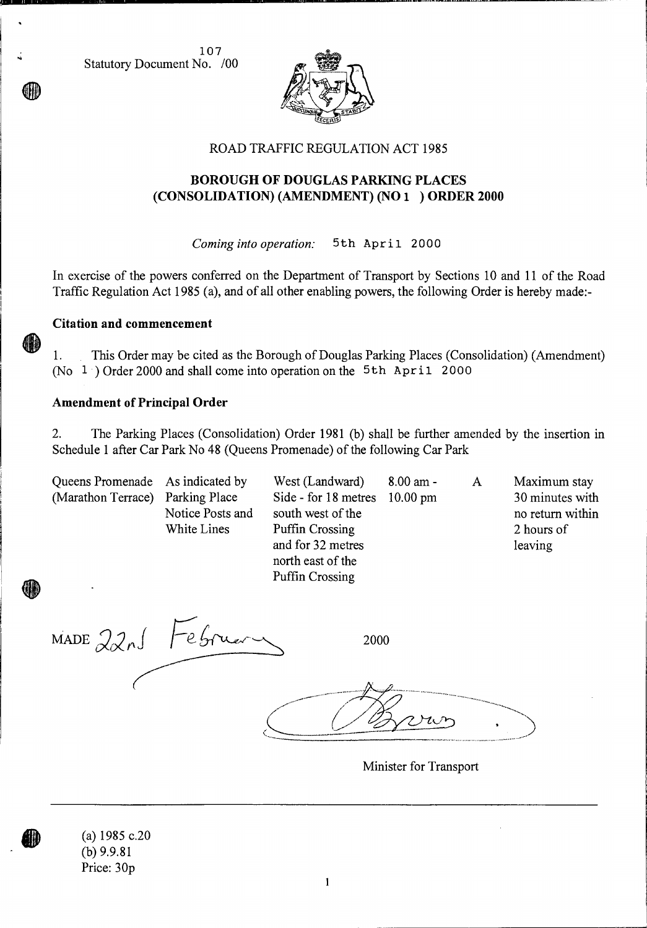107 Statutory Document No. /00



### ROAD TRAFFIC REGULATION ACT 1985

# **BOROUGH OF DOUGLAS PARKING PLACES (CONSOLIDATION) (AMENDMENT) (NO 1 ) ORDER 2000**

*Coming into operation:* 5th April 2000

In exercise of the powers conferred on the Department of Transport by Sections 10 and 11 of the Road Traffic Regulation Act 1985 (a), and of all other enabling powers, the following Order is hereby made:-

#### **Citation and commencement**

1. This Order may be cited as the Borough of Douglas Parking Places (Consolidation) (Amendment) (No  $1$ ) Order 2000 and shall come into operation on the 5th April 2000

#### **Amendment of Principal Order**

2. The Parking Places (Consolidation) Order 1981 (b) shall be further amended by the insertion in Schedule **1** after Car Park No 48 (Queens Promenade) of the following Car Park

| Queens Promenade As indicated by |                                 | West (Landward)                                                                                                                    | $8.00 \text{ am}$ - | A | Maximum stay                                                 |
|----------------------------------|---------------------------------|------------------------------------------------------------------------------------------------------------------------------------|---------------------|---|--------------------------------------------------------------|
| (Marathon Terrace) Parking Place | Notice Posts and<br>White Lines | Side - for 18 metres 10.00 pm<br>south west of the<br>Puffin Crossing<br>and for 32 metres<br>north east of the<br>Puffin Crossing |                     |   | 30 minutes with<br>no return within<br>2 hours of<br>leaving |

MADE 22 nJ Februe 2000

Minister for Transport

(a) 1985 c.20 (b) 9.9.81 Price: 30p

**GIAD**